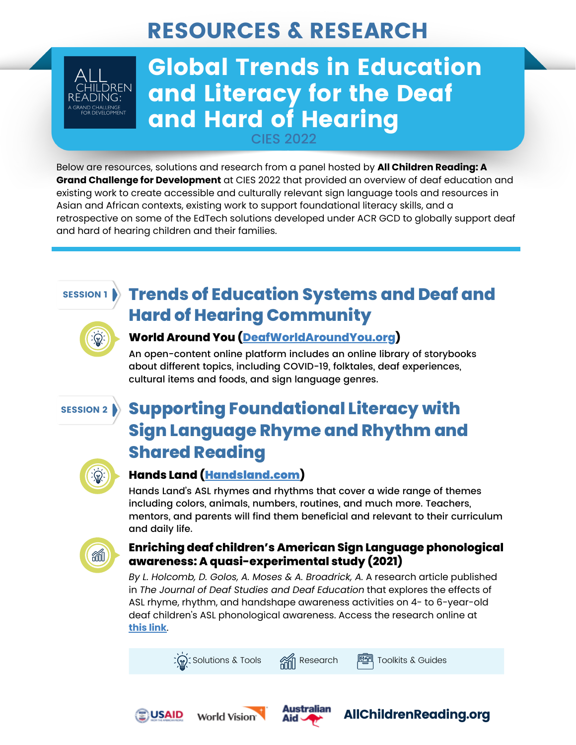# RESOURCES & RESEARCH



# Global Trends in Education and Literacy for the Deaf and Hard of Hearing CIFS 2022

Below are resources, solutions and research from a panel hosted by **All Children Reading: A Grand Challenge for Development** at CIES 2022 that provided an overview of deaf education and existing work to create accessible and culturally relevant sign language tools and resources in Asian and African contexts, existing work to support foundational literacy skills, and a retrospective on some of the EdTech solutions developed under ACR GCD to globally support deaf and hard of hearing children and their families.

#### SESSION 1

## **Trends of Education Systems and Deaf and Hard of Hearing Community**



### **World Around You [\(DeafWorldAroundYou.org](https://deafworldaroundyou.org/Stories))**

An open-content online platform includes an online library of storybooks about different topics, including COVID-19, folktales, deaf experiences, cultural items and foods, and sign language genres.

#### SESSION 2

### **Supporting Foundational Literacy with Sign Language Rhyme and Rhythm and Shared Reading**



### **Hands Land (**[Handsland.com](http://www.handsland.com/)**)**

Hands Land's ASL rhymes and rhythms that cover a wide range of themes including colors, animals, numbers, routines, and much more. Teachers, mentors, and parents will find them beneficial and relevant to their curriculum and daily life.



#### **Enriching deaf children's American Sign Language phonological awareness: A quasi-experimental study (2021)**

*By L. Holcomb, D. Golos, A. Moses & A. Broadrick, A.* A research article published in *The Journal of Deaf Studies and Deaf Education* that explores the effects of ASL rhyme, rhythm, and handshape awareness activities on 4- to 6-year-old deaf children's ASL phonological awareness. Access the research online at **[this](https://www.researchgate.net/publication/353955348_Enriching_Deaf_Children%27s_American_Sign_Language_Phonological_Awareness_A_Quasi-Experimental_Study) link**.